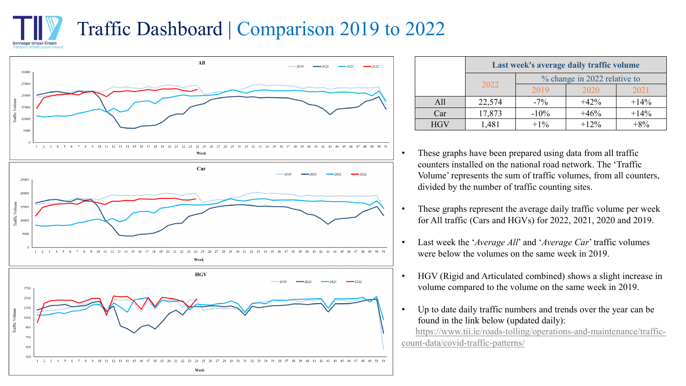## Traffic Dashboard | Comparison 2019 to 2022 Ionneagar Iompair Éireann



Week

700 500

 $1\quad 2\quad 3$ 

|            | Last week's average daily traffic volume |                              |        |         |  |
|------------|------------------------------------------|------------------------------|--------|---------|--|
|            |                                          | % change in 2022 relative to |        |         |  |
|            | 2022                                     | 2019                         | 2020   | 2021    |  |
| All        | 22,574                                   | $-7\%$                       | $+42%$ | $+14\%$ |  |
| Car        | 17,873                                   | $-10\%$                      | $+46%$ | $+14%$  |  |
| <b>HGV</b> | 1,481                                    | $+1\%$                       | $+12%$ | $+8\%$  |  |

- These graphs have been prepared using data from all traffic counters installed on the national road network. The 'Traffic Volume' represents the sum of traffic volumes, from all counters, divided by the number of traffic counting sites.
- These graphs represent the average daily traffic volume per week for All traffic (Cars and HGVs) for 2022, 2021, 2020 and 2019.
- Last week the '*Average All*' and '*Average Car*' traffic volumes were below the volumes on the same week in 2019.
- HGV (Rigid and Articulated combined) shows a slight increase in volume compared to the volume on the same week in 2019.
- Up to date daily traffic numbers and trends over the year can be found in the link below (updated daily):

[https://www.tii.ie/roads-tolling/operations-and-maintenance/traffic](https://www.tii.ie/roads-tolling/operations-and-maintenance/traffic-count-data/covid-traffic-patterns/)count-data/covid-traffic-patterns/